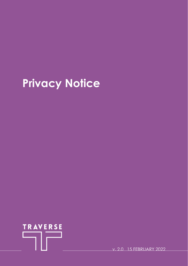# **Privacy Notice**



v. 2.0 15 FEBRUARY 2022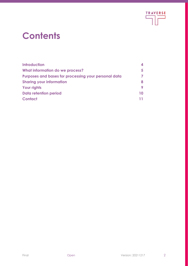

### **Contents**

| <b>Introduction</b>                                  |    |
|------------------------------------------------------|----|
| What information do we process?                      | 5  |
| Purposes and bases for processing your personal data |    |
| <b>Sharing your information</b>                      | 8  |
| <b>Your rights</b>                                   | 9  |
| Data retention period                                | 10 |
| <b>Contact</b>                                       |    |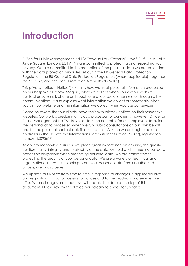

#### **Introduction**

Office for Public Management Ltd T/A Traverse Ltd ("Traverse", "we", "us", "our") of 2 Angel Square, London, EC1V 1NY are committed to protecting and respecting your privacy. We are committed to the protection of the personal data we process in line with the data protection principles set out in the UK General Data Protection Regulation, the EU General Data Protection Regulation (where applicable) (together the "GDPR") and the Data Protection Act 2018 ("DPA18").

This privacy notice ("Notice") explains how we treat personal information processed on our bespoke platform, Magpie, what we collect when you visit our website, contact us by email, phone or through one of our social channels, or through other communications. It also explains what information we collect automatically when you visit our website and the information we collect when you use our services.

Please be aware that our clients' have their own privacy notices on their respective websites. Our work is predominantly as a processor for our clients; however, Office for Public Management Ltd T/A Traverse Ltd is the controller for our employee data, for the personal data processed when we run public consultations on our own behalf and for the personal contact details of our clients. As such we are registered as a controller in the UK with the Information Commissioner's Office ("ICO"), registration number Z5095617.

As an information-led business, we place great importance on ensuring the quality, confidentiality, integrity and availability of the data we hold and in meeting our data protection obligations when processing personal data. We are committed to protecting the security of your personal data. We use a variety of technical and organisational measures to help protect your personal data from unauthorised access, use or disclosure.

We update this Notice from time to time in response to changes in applicable laws and regulations, to our processing practices and to the products and services we offer. When changes are made, we will update the date at the top of this document. Please review this Notice periodically to check for updates.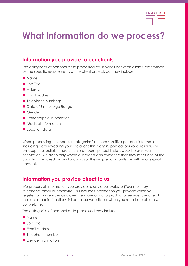

#### **What information do we process?**

#### **Information you provide to our clients**

The categories of personal data processed by us varies between clients, determined by the specific requirements of the client project, but may include:

- **Name**
- **Job Title**
- Address
- **Email address**
- $\blacksquare$  Telephone number(s)
- Date of Birth or Age Range
- Gender
- **Ethnographic information**
- **Medical information**
- Location data

When processing the "special categories" of more sensitive personal information, including data revealing your racial or ethnic origin, political opinions, religious or philosophical beliefs, trade union membership, health status, sex life or sexual orientation, we do so only where our clients can evidence that they meet one of the conditions required by law for doing so. This will predominantly be with your explicit consent.

#### **Information you provide direct to us**

We process all information you provide to us via our website ("our site"), by telephone, email or otherwise. This includes information you provide when you register for our services as a client, enquire about a product or service, use one of the social media functions linked to our website, or when you report a problem with our website.

The categories of personal data processed may include:

- **Name**
- **Job Title**
- **Email Address**
- $\blacksquare$  Telephone number
- Device information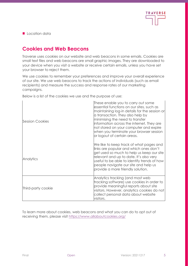

Location data

#### **Cookies and Web Beacons**

Traverse uses cookies on our website and web beacons in some emails. Cookies are small text files and web beacons are small graphic images. They are downloaded to your device when you visit a website or receive certain emails, unless you have set your browser to reject them.

We use cookies to remember your preferences and improve your overall experience of our site. We use web beacons to track the actions of individuals (such as email recipients) and measure the success and response rates of our marketing campaigns.

| <b>Session Cookies</b> | These enable you to carry out some<br>essential functions on our sites, such as<br>maintaining log-in details for the session or<br>a transaction. They also help by<br>minimising the need to transfer<br>information across the internet. They are<br>not stored on your computer and expire<br>when you terminate your browser session<br>or logout of certain areas. |
|------------------------|--------------------------------------------------------------------------------------------------------------------------------------------------------------------------------------------------------------------------------------------------------------------------------------------------------------------------------------------------------------------------|
| Analytics              | We like to keep track of what pages and<br>links are popular and which ones don't<br>get used so much to help us keep our site<br>relevant and up to date. It's also very<br>useful to be able to identify trends of how<br>people navigate our site and help us<br>provide a more friendly solution.                                                                    |
| Third-party cookie     | Analytics tracking (and most web<br>tracking software) use cookies in order to<br>provide meaningful reports about site<br>visitors. However, analytics cookies do not<br>collect personal data about website<br>visitors.                                                                                                                                               |

Below is a list of the cookies we use and the purpose of use:

To learn more about cookies, web beacons and what you can do to opt out of receiving them, please visit [https://www.allaboutcookies.org/](mailto:IMSCommittee@traverse.ltd)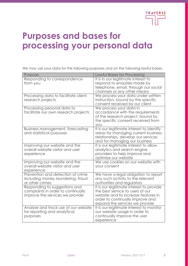

#### **Purposes and bases for processing your personal data**

We may use your data for the following purposes and on the following lawful bases:

| <b>Lawful Bases for Processing</b><br>Purpose                                    |  |
|----------------------------------------------------------------------------------|--|
| Responding to correspondence<br>It is in our legitimate interest to              |  |
| respond to enquiries made by<br>from you                                         |  |
| telephone, email, through our social                                             |  |
|                                                                                  |  |
| channels or any other means                                                      |  |
| Processing data to facilitate client<br>We process your data under written       |  |
| research projects<br>instruction, bound by the specific                          |  |
| consent received by our client                                                   |  |
| Processing personal data to<br>We process your data in                           |  |
| facilitate our own research projects<br>accordance with the requirements         |  |
| of the research project, bound by                                                |  |
| the specific consent received from                                               |  |
| <b>YOU</b>                                                                       |  |
| It is our legitimate interest to identify<br>Business management, forecasting    |  |
| and statistical purposes<br>areas for managing current business                  |  |
| relationships, develop our services                                              |  |
| and for managing our business                                                    |  |
| Improving our website and the<br>It is our legitimate interest to allow          |  |
| overall website visitor and user<br>analytics and search engine                  |  |
| providers to help improve and<br>experience                                      |  |
| optimise our website                                                             |  |
| Improving our website and the<br>We use cookies on our website with              |  |
| overall website visitor and user<br>your consent                                 |  |
| experience                                                                       |  |
| Prevention and detection of crime<br>We have a legal obligation to report        |  |
| including money laundering, fraud<br>any such activity to the relevant           |  |
| or other crimes<br>authorities and regulators                                    |  |
| Responding to suggestions and<br>It is our legitimate interest to provide        |  |
| complaints in order to continually<br>the best service to users of our           |  |
| improve the services we provide<br>website and to increase features in           |  |
| order to continually improve and                                                 |  |
| expand the services we provide                                                   |  |
| Analyse and track use of our website<br>It is our legitimate interest to monitor |  |
| for reporting and analytical<br>our website usage in order to                    |  |
| continually improve the user<br>purposes                                         |  |
|                                                                                  |  |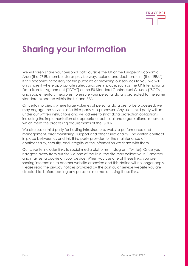

### **Sharing your information**

We will rarely share your personal data outside the UK or the European Economic Area (the 27 EU member states plus Norway, Iceland and Liechtenstein) (the "EEA"). If this becomes necessary for the purposes of providing our services to you, we will only share it where appropriate safeguards are in place, such as the UK International Data Transfer Agreement ("IDTA") or the EU Standard Contractual Clauses ("SCCs") and supplementary measures, to ensure your personal data is protected to the same standard expected within the UK and EEA.

On certain projects where large volumes of personal data are to be processed, we may engage the services of a third-party sub-processor. Any such third party will act under our written instructions and will adhere to strict data protection obligations, including the implementation of appropriate technical and organisational measures which meet the processing requirements of the GDPR.

We also use a third party for hosting infrastructure, website performance and management, error monitoring, support and other functionality. The written contract in place between us and this third party provides for the maintenance of confidentiality, security, and integrity of the information we share with them.

Our website includes links to social media platforms (Instagram, Twitter). Once you navigate away from our site via one of the links, the site may collect your IP address and may set a cookie on your device. When you use one of these links, you are sharing information to another website or service and this Notice will no longer apply. Please read the privacy notices provided by the particular service website you are directed to, before posting any personal information using these links.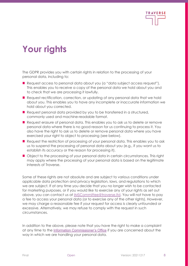

### **Your rights**

The GDPR provides you with certain rights in relation to the processing of your personal data, including to:

- Request access to personal data about you (a "data subject access request"). This enables you to receive a copy of the personal data we hold about you and to check that we are processing it lawfully.
- Request rectification, correction, or updating of any personal data that we hold about you. This enables you to have any incomplete or inaccurate information we hold about you corrected.
- Request personal data provided by you to be transferred in a structured, commonly used and machine-readable format.
- Request erasure of personal data. This enables you to ask us to delete or remove personal data where there is no good reason for us continuing to process it. You also have the right to ask us to delete or remove personal data where you have exercised your right to object to processing (see below).
- Request the restriction of processing of your personal data. This enables you to ask us to suspend the processing of personal data about you (e.g., if you want us to establish its accuracy or the reason for processing it).
- Object to the processing of your personal data in certain circumstances. This right may apply where the processing of your personal data is based on the legitimate interests of Traverse.

Some of these rights are not absolute and are subject to various conditions under applicable data protection and privacy legislation, laws, and regulations to which we are subject. If at any time you decide that you no longer wish to be contacted for marketing purposes, or if you would like to exercise any of your rights as set out above, you can contact us at [IMSCommittee@traverse.ltd.](mailto:IMSCommittee@traverse.ltd) You will not have to pay a fee to access your personal data (or to exercise any of the other rights). However, we may charge a reasonable fee if your request for access is clearly unfounded or excessive. Alternatively, we may refuse to comply with the request in such circumstances.

In addition to the above, please note that you have the right to make a complaint at any time to the [Information Commissioner's Office](https://ico.org.uk/make-a-complaint/) if you are concerned about the way in which we are handling your personal data.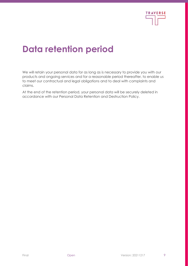

#### **Data retention period**

We will retain your personal data for as long as is necessary to provide you with our products and ongoing services and for a reasonable period thereafter, to enable us to meet our contractual and legal obligations and to deal with complaints and claims.

At the end of the retention period, your personal data will be securely deleted in accordance with our Personal Data Retention and Destruction Policy.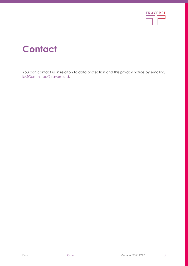

## **Contact**

You can contact us in relation to data protection and this privacy notice by emailing [IMSCommittee@traverse.ltd.](mailto:IMSCommittee@traverse.ltd)